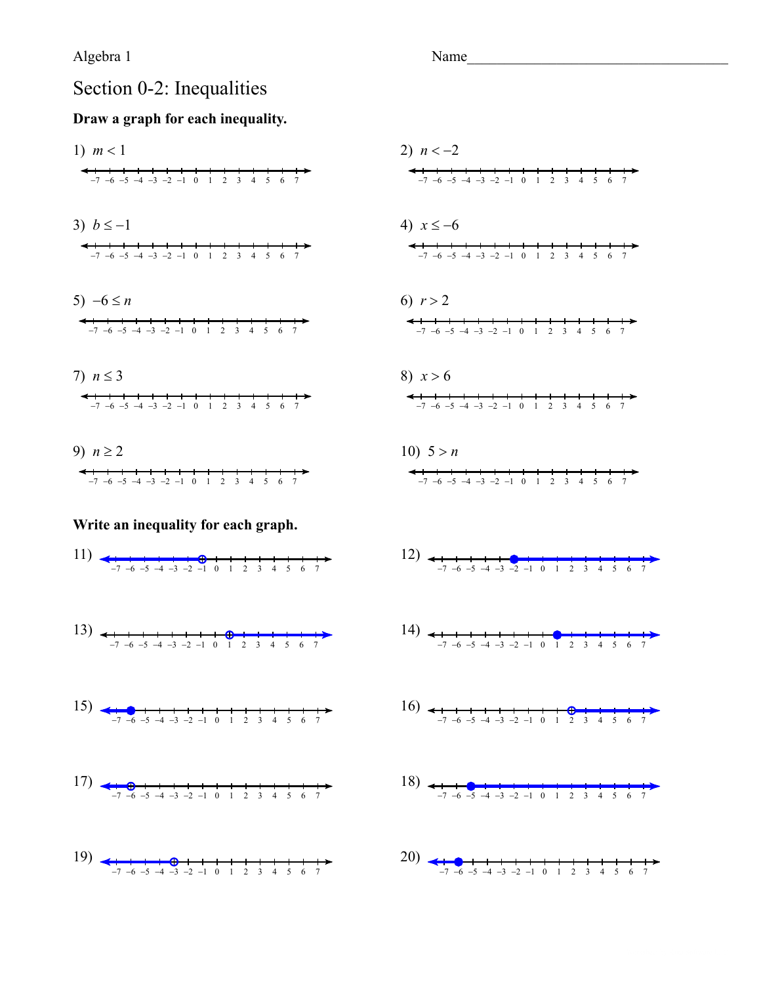## Section 0-2: Inequalities

### Draw a graph for each inequality.

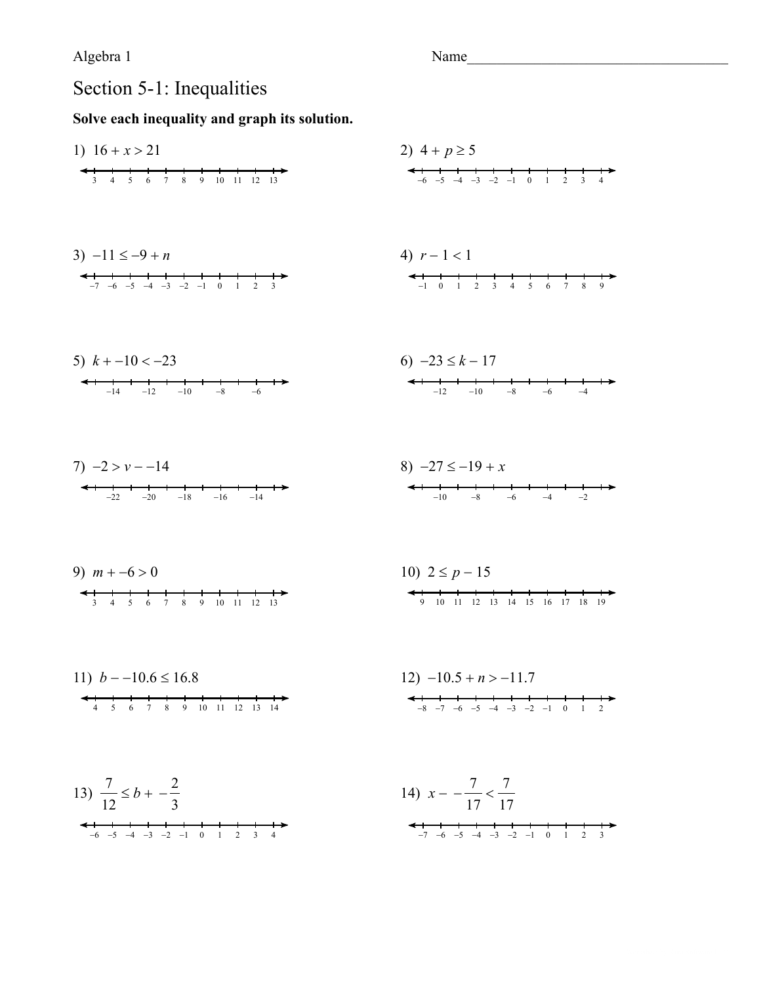Name

# Section 5-1: Inequalities

1) 
$$
16 + x > 21
$$
  
\n2)  $4 + p \ge 5$   
\n3)  $-11 \le -9 + n$   
\n4)  $r - 1 < 1$   
\n4)  $r - 1 < 1$   
\n5)  $k + -10 < -23$   
\n6)  $-23 \le k - 17$   
\n7)  $-2 > v - -14$   
\n8)  $-27 \le -19 + x$   
\n9)  $m + -6 > 0$   
\n10)  $2 \le p - 15$   
\n11)  $b - -10.6 \le 16.8$   
\n12)  $-10.5 + n > -11.7$   
\n13)  $\frac{7}{12} \le b + -\frac{2}{3}$   
\n14)  $x - \frac{7}{17} < \frac{7}{17}$   
\n15  
\n16.  $\frac{1}{4} + \frac{1}{5} + \frac{1}{6} + \frac{1}{8} + \frac{1}{10} + \frac{1}{12} + \frac{1}{13} + \frac{1}{14} + \frac{1}{15} + \frac{1}{10} + \frac{1}{12} + \frac{1}{13} + \frac{1}{14} + \frac{1}{15} + \frac{1}{15} + \frac{1}{15} + \frac{1}{15} + \frac{1}{15} + \frac{1}{15} + \frac{1}{15} + \frac{1}{15} + \frac{1}{15} + \frac{1}{15} + \frac{1}{15} + \frac{1}{15} + \frac{1}{15} + \frac{1}{15} + \frac{1}{15} + \frac{1}{15} + \frac{1}{15} + \frac{1}{15} + \frac{1}{15} + \frac{1}{15} + \frac{1}{15} + \frac{1}{15} + \frac{1}{15} + \frac{1}{15} + \frac{1}{15} + \frac{1}{15} + \frac{1}{15} + \frac{1}{15} + \frac{1}{15} + \frac{1}{15} + \frac{1}{15} + \frac{1}{15} + \frac{1}{15} + \frac{1}{15} + \frac{1}{15} + \frac{1}{15} + \frac{1}{1$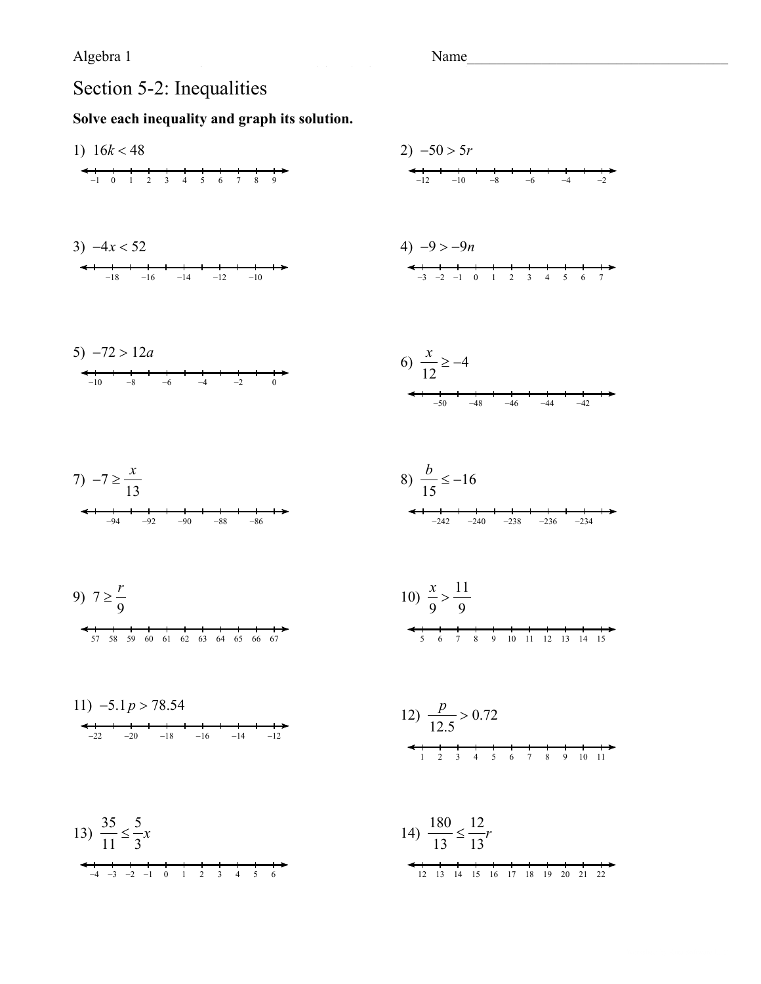Name

## Section 5-2: Inequalities

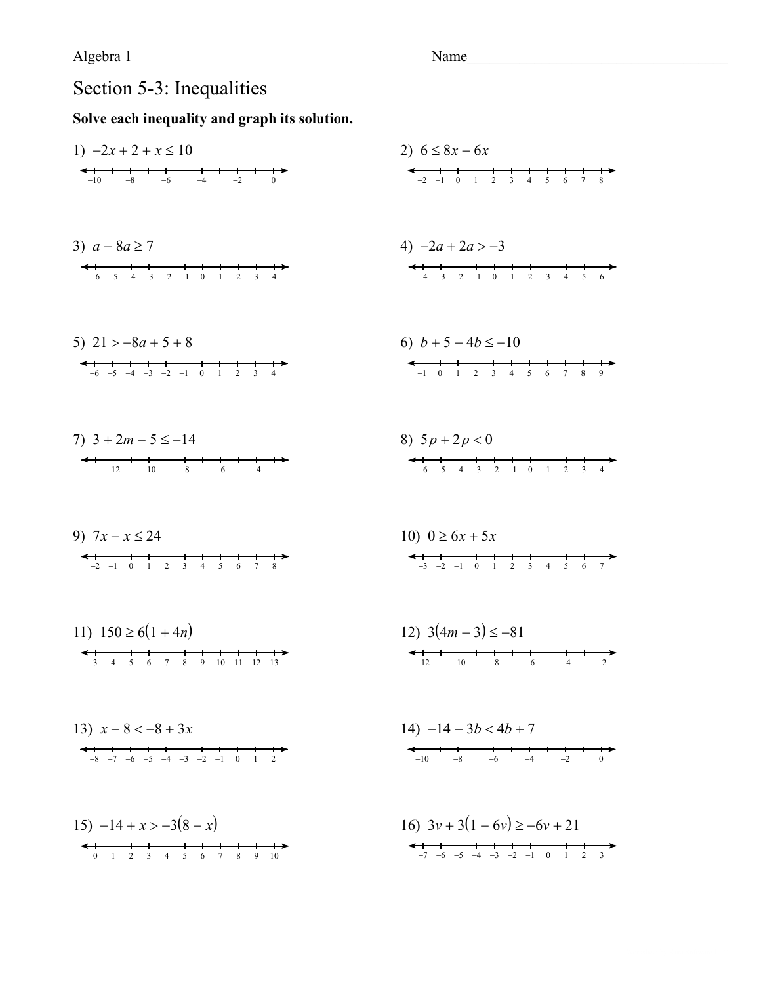# Section 5-3: Inequalities

| 1) $-2x + 2 + x \le 10$                                                                                          | 2) $6 \le 8x - 6x$                                                                                                   |
|------------------------------------------------------------------------------------------------------------------|----------------------------------------------------------------------------------------------------------------------|
| $-6$ $-4$<br>$-8$<br>$-2$<br>$-10$<br>$\overline{0}$                                                             | $0 \t1 \t2 \t3 \t4 \t5 \t6$<br>$-2$ $-1$<br>$\overline{7}$<br>8                                                      |
| 3) $a - 8a \ge 7$<br>$-6$ $-5$ $-4$ $-3$ $-2$ $-1$ 0 1<br>2<br>$\overline{\mathbf{3}}$<br>$\overline{4}$         | 4) $-2a + 2a > -3$<br>$\begin{array}{ccccccccc}\n1 & 2 & 3 & 4\n\end{array}$<br>$-4$ $-3$ $-2$ $-1$ 0<br>$5^{\circ}$ |
| 5) $21 > -8a + 5 + 8$<br>$-6$ $-5$ $-4$ $-3$ $-2$ $-1$ 0 1<br>$\overline{2}$<br>$\overline{3}$<br>$\overline{4}$ | 6) $b+5-4b \le -10$<br>$1 \t2 \t3 \t4 \t5 \t6 \t7$<br>$-1$ 0<br>8<br>9                                               |
| 7) $3 + 2m - 5 \le -14$<br>$-10$<br>$-8$<br>$-6$<br>$-4$<br>$-12$                                                | 8) $5p + 2p < 0$<br>$-6$ $-5$ $-4$ $-3$ $-2$ $-1$ 0 1<br>$\overline{2}$<br>$\overline{\mathbf{3}}$<br>$\overline{4}$ |
| 9) $7x - x \le 24$<br>$-2$ $-1$ 0 1 2 3 4 5<br>6<br>$7^{\circ}$<br>8                                             | 10) $0 \ge 6x + 5x$<br>$-3$ $-2$ $-1$ 0 1 2 3 4 5<br>6<br>7                                                          |
| 11) $150 \ge 6(1 + 4n)$<br>5 6 7 8<br>9 10 11 12 13<br>3 <sup>7</sup><br>$\overline{4}$                          | 12) $3(4m-3) \le -81$<br>$-10$<br>$-8$<br>$-6$<br>$-12$<br>$-4$<br>$-2$                                              |
| 13) $x-8 < -8 + 3x$<br>$-8$ $-7$ $-6$ $-5$ $-4$ $-3$ $-2$ $-1$ 0 1 2                                             | $14) -14 - 3b < 4b + 7$<br>$-10$ $-8$ $-6$ $-4$ $-2$<br>$\Omega$                                                     |
| 15) $-14 + x > -3(8 - x)$<br>$\begin{array}{c} \leftarrow \\ 0 \end{array}$ 1                                    | 16) $3v + 3(1 - 6v) \ge -6v + 21$<br>$-7$ $-6$ $-5$ $-4$ $-3$ $-2$ $-1$ 0 1<br>$\overline{2}$<br>$\overline{3}$      |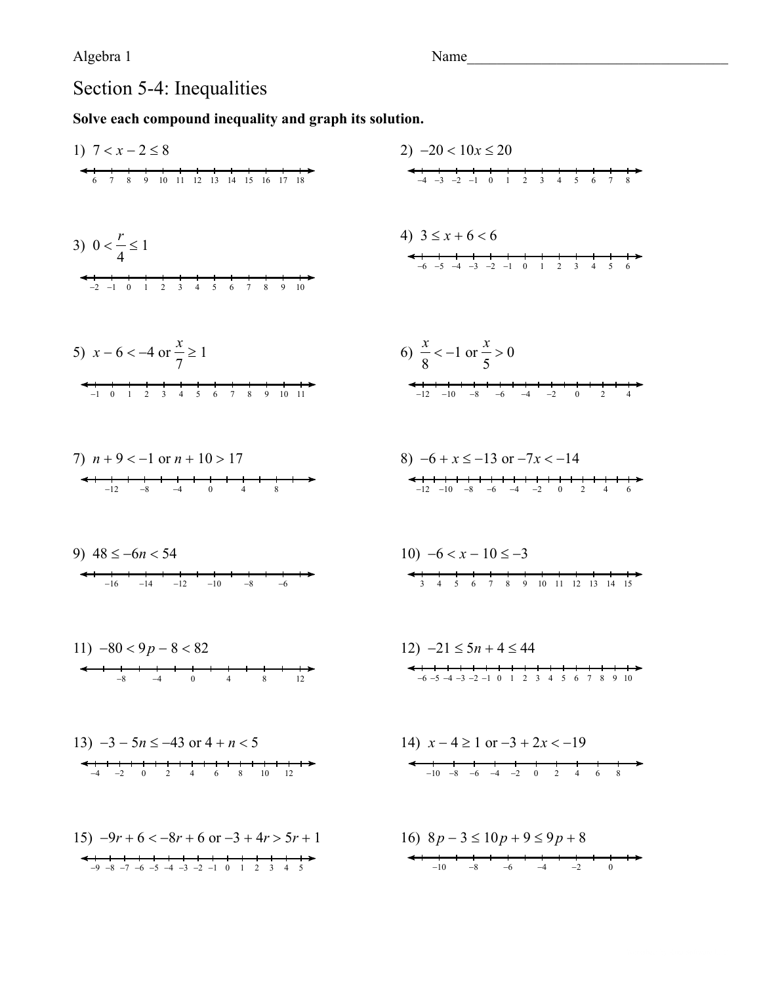Name

# Section 5-4: Inequalities